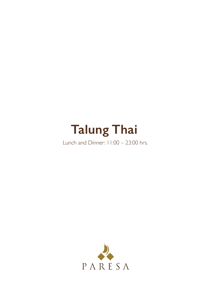# **Talung Thai**

Lunch and Dinner: 11:00 – 23:00 hrs.

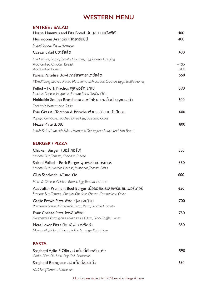## **WESTERN MENU**

| <b>ENTRÉE / SALAD</b><br>House Hummus and Pita Bread ฮัมมูส ขนมปังพิต้า                                                             | 400              |
|-------------------------------------------------------------------------------------------------------------------------------------|------------------|
| Mushrooms Arancini เห็ดอารันชินี                                                                                                    | 400              |
| Napoli Sauce, Pesto, Parmesan                                                                                                       |                  |
| Caesar Salad ชีซาร์สลัด                                                                                                             | 400              |
| Cos Lettuce, Bacon, Tomato, Croutons, Egg, Caesar Dressing<br>Add Grilled Chicken Breast<br>Add Grilled Prawn                       | $+100$<br>$+200$ |
| Paresa Paradise Bowl ภารีสาพาราไดซ์สลัด                                                                                             | 550              |
| Mixed Young Leaves, Mixed Nuts, Tomato, Avocados, Crouton, Eggs, Truffle Honey                                                      |                  |
| Pulled – Pork Nachos พูลพอร์ก นาโช่<br>Nachos Cheese, Jalapenos, Tomato Salsa, Tortilla Chip                                        | 590              |
| Hokkaido Scallop Bruschetta ฮอกไกโดสแกลล็อป บรุชเซตต้า                                                                              | 600              |
| Thai Style Watermelon Salsa                                                                                                         |                  |
| Foie Gras Au Torchon & Brioche ฟัวกราส์ ขนมปังบียอน                                                                                 | 600              |
| Papaya Compote, Poached Dried Figs, Balsamic Coulis                                                                                 |                  |
| Mezze Plate เมชเช่                                                                                                                  | 800              |
| Lamb Kofte, Tabouleh Salad, Hummus Dip, Yoghurt Sauce and Pita Bread                                                                |                  |
|                                                                                                                                     |                  |
| <b>BURGER / PIZZA</b>                                                                                                               |                  |
| Chicken Burger เบอร์เกอร์ไก่<br>Sesame Bun, Tomato, Cheddar Cheese                                                                  | 550              |
| Spiced Pulled – Pork Burger พูลพอร์กเบอร์เกอร์<br>Sesame Bun, Nachos Cheese, Jalapenos, Tomato Salsa                                | 550              |
| Club Sandwich คลับแซนวิช                                                                                                            | 600              |
| Ham & Cheese, Chicken Breast, Egg, Tomato, Lettuce                                                                                  |                  |
| Australian Premium Beef Burger เนื้อออสเตรเลียพรีเมี่ยมเบอร์เกอร์<br>Sesame Bun, Tomato, Gherkin, Cheddar Cheese, Caramelized Onion | 650              |
| Garlic Prawn Pizza พิชช่ากุ้งกระเทียม<br>Parmesan Sauce, Mozzarella, Fetta, Pesto, Sundried Tomato                                  | 700              |
| Four Cheese Pizza โฟร์ชีสพิชช่า<br>Gorgonzola, Parmigiana, Mozzarella, Edam, Black Truffle Honey                                    | 750              |
| Meat Lover Pizza มีท เลิฟเวอร์พิซซ่า<br>Mozzarella, Salami, Bacon, Italian Sausage, Paris Ham                                       | 850              |
| <b>PASTA</b>                                                                                                                        |                  |
| Spaghetti Aglio E Olio สปาเก็ตตี้ผัดพริกแห้ง<br>Garlic, Olive Oil, Basil, Dry Chili, Parmesan                                       | 590              |
| Spaghetti Bolognese สปาเก็ตตี้ซอสเนื้อ                                                                                              | 650              |

*AUS Beef, Tomato, Parmesan*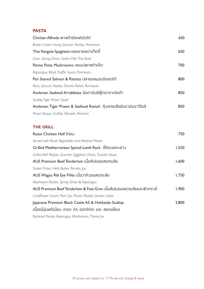## **PASTA**

| Chicken Alfredo พาสต้าอัลเฟรโดไก่                                       | 650   |
|-------------------------------------------------------------------------|-------|
| Butter Cream, Young Spinach, Parsley, Parmesan                          |       |
| Thai Vongole Spaghetti หอยลายสปาเก็ตตี้                                 | 650   |
| Clam, Spring Onion, Green Chili, Thai Basil                             |       |
| Penne Pasta Mushrooms เพนเน่พาสต้าเห็ด                                  | 700   |
| Asparagus, Black Truffle Sauce, Parmesan                                |       |
| Pan Seared Salmon & Risotto ปลาแซลมอนริชอตโต้                           | 800   |
| Peas, Spinach, Rocket, Tomato Relish, Parmesan                          |       |
| Andaman Seafood Arrabbiata อันดามันซีฟู๊ดอาราเบียต้า                    | 850   |
| Scallop, Tiger Prawn, Squid                                             |       |
| Andaman Tiger Prawn & Seafood Ravioli กุ้งลายเสืออันดามันราวีโอลี       | 850   |
| Prawn Bisque, Scallop, Mussels, Pecorino                                |       |
| <b>THE GRILL</b>                                                        |       |
| Roast Chicken Half ไก่อบ                                                | 750   |
| Served with Roast Vegetables and Mashed Potato                          |       |
| Grilled Mediterranean Spiced Lamb Rack ซีโครงแกะย่าง                    | 1,550 |
| Grilled Bell Pepper, Zucchini, Eggplant, Onion, Tzatziki Sauce          |       |
| AUS Premium Beef Tenderloin เนื้อสันในออสเตรเลีย                        | 1,600 |
| Staked Frites, Herb Butter, Tomato, Jus                                 |       |
| AUS Wagyu Rib Eye Fillet เนื้อวากิวออสเตรเลีย                           | 1,750 |
| Mushroom Risotto, Spring Onion & Asparagus                              |       |
| AUS Premium Beef Tenderloin & Foie Gras เนื้อสันในออสเตรเลียและฟัวกราส์ | 1,900 |
| Cauliflower Cream, Plum Jus, Potato Rissole, Garden Salad               |       |
| Japanese Premium Black Cattle A5 & Hokkaido Scallop                     | 3,800 |
| เนื้อญี่ปุ่นพรีเมี่ยม เกรด A5 ฮอกไกโด และ สแกลล็อป                      |       |
|                                                                         |       |

*Buttered Potato, Asparagus, Mushrooms, Thyme Jus*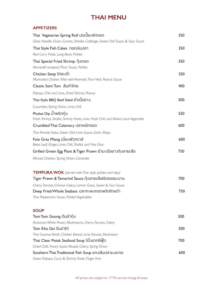# **THAI MENU**

#### **APPETIZERS**

| Thai Vegetarian Spring Roll ปอเปี๊ยะผักทอด                                                                           | 350 |
|----------------------------------------------------------------------------------------------------------------------|-----|
| Glass Noodle, Onion, Carrots, Shitake, Cabbage, Sweet Chili Sauce & Soya Sauce                                       |     |
| Thai Style Fish Cakes ทอดมันปลา                                                                                      | 350 |
| Red Curry Paste, Long Bean, Pickles                                                                                  |     |
| Thai Special Fried Shrimp กุ้งทอด<br>Vermicelli wrapped, Plum Sauce, Pickles                                         | 350 |
| Chicken Satay ไก่สะเต๊ะ                                                                                              | 350 |
| Marinated Chicken Fillet with Aromatic Thai Herb, Peanut Sauce                                                       |     |
| Classic Som Tum สัมตำไทย                                                                                             | 400 |
| Papaya, Chili and Lime, Dried Shrimp, Peanut                                                                         |     |
| Thai Style BBQ Beef Salad ยำเนื้อย่าง                                                                                | 500 |
| Cucumber, Spring Onion, Lime, Chili                                                                                  |     |
| Phuket Dip น้ำพริกกุ้ง<br>Fresh Shrimp, Shallot, Shrimp Paste, Lime, Fresh Chili, and Mixed Local Vegetable          | 550 |
| Crumbled Thai Calamary ปลาหมึกทอด                                                                                    | 600 |
| Thai Pomelo Salsa, Green Chili Lime Sauce, Garlic Mayo                                                               |     |
| Foie Gras Miang เมี่ยงฟัวกราส์<br>Betel Leaf, Ginger, Lime, Chili, Shallot and Foie Gras                             | 600 |
| Grilled Green Egg Plant & Tiger Prawn ยำมะเขือยาวกุ้งลายเลือ                                                         | 750 |
| Minced Chicken, Spring Onion, Coriander                                                                              |     |
| <b>TEMPURA WOK</b> (served with Thai style pickles and dips)<br>Tiger Prawn & Tamarind Sauce กุ้งลายเสื้อผัดซอสมะขาม | 700 |
| Cherry Tomato, Chinese Celery, Lemon Grass, Sweet & Sour Sauce                                                       |     |
| Deep Fried Whole Seabass ปลากะพงทอดพริกไทยดำ                                                                         | 750 |
| Thai Peppercorn Sauce, Pickled Vegetables                                                                            |     |
| <b>SOUP</b>                                                                                                          |     |
| Tom Yum Goong ต้มยำกุ้ง                                                                                              | 500 |
| Andaman White Prawn, Mushrooms, Cherry Tomato, Celery                                                                |     |
| Tom Kha Gai ตัมข่าไก่                                                                                                | 500 |
| Thai Coconut Broth, Chicken Breast, Lime, Tomato, Mushroom                                                           |     |
| Thai Clear Potak Seafood Soup โป๊ะแตกซีฟู๊ด                                                                          | 700 |
| Dried Chilli, Prawn, Squid, Mussel, Celery, Spring Onion                                                             |     |
| Southern Thai Traditional Fish Soup แกงสัมปลามะละกอ                                                                  | 600 |
| Green Papaya, Curry & Shrimp Paste, Finger lime                                                                      |     |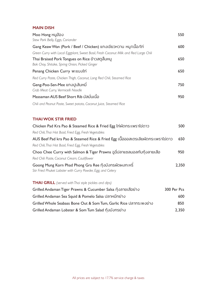#### **MAIN DISH**

| Moo Hong หมูฮ้อง<br>Stew Pork Belly, Eggs, Coriander                                                                    | 550   |
|-------------------------------------------------------------------------------------------------------------------------|-------|
| Gang Keaw Wan (Pork / Beef / Chicken) แกงเขียวหวาน หมู/เนื้อ/ไก่                                                        | 600   |
| Green Curry with Local Eggplant, Sweet Basil, Fresh Coconut Milk and Red Large Chili                                    |       |
| Thai Braised Pork Tongues on Rice ข้าวสตูลิ้นหมู<br>Bok Choy, Shitake, Spring Onion, Picked Ginger                      | 650   |
| Penang Chicken Curry พะแนงไก่                                                                                           | 650   |
| Red Curry Paste, Chicken Thigh, Coconut, Long Red Chili, Steamed Rice                                                   |       |
| Geng-Poo-Sen-Mee แกงปูเส้นหมี<br>Crab Meat Curry, Vermicelli Noodle                                                     | 750   |
| Massaman AUS Beef Short Rib มัสมั่นเนื้อ                                                                                | 950   |
| Chili and Peanut Paste, Sweet potato, Coconut Juice, Steamed Rice                                                       |       |
| <b>THAI WOK STIR FRIED</b>                                                                                              |       |
| Chicken Pad Kra Pao & Steamed Rice & Fried Egg ไก่ผัดกระเพราไข่ดาว                                                      | 500   |
| Red Chili, Thai Hot Basil, Fried Egg, Fresh Vegetables                                                                  |       |
| AUS Beef Pad kra Pao & Steamed Rice & Fried Egg เนื้อออสเตรเลียผัดกระเพราไข่ดาว                                         | 650   |
| Red Chili, Thai Hot Basil, Fried Egg, Fresh Vegetables                                                                  |       |
| Choo Chee Curry with Salmon & Tiger Prawns ฉูฉี่ปลาแซลมอลกับกุ้งลายเสือ                                                 | 950   |
| Red Chili Paste, Coconut Cream, Cauliflower                                                                             |       |
| Goong Mung Korn Phad Phong Gra Ree กุ้งมังกรผัดผงกะหรี่<br>Stir Fried Phuket Lobster with Curry Powder, Egg, and Celery | 2,350 |

#### **THAI GRILL** *(served with Thai style pickles and dips)*

| Grilled Andaman Tiger Prawns & Cucumber Salsa กังลายเสือย่าง       | 300 Per Pcs |
|--------------------------------------------------------------------|-------------|
| Grilled Andaman Sea Squid & Pomelo Salsa ปลาหมึกย่าง               | 600         |
| Grilled Whole Seabass Bone Out & Som Tum, Garlic Rice ปลากระพงย่าง | 850         |
| Grilled Andaman Lobster & Som Tum Salad กังมังกรย่าง               | 2.350       |